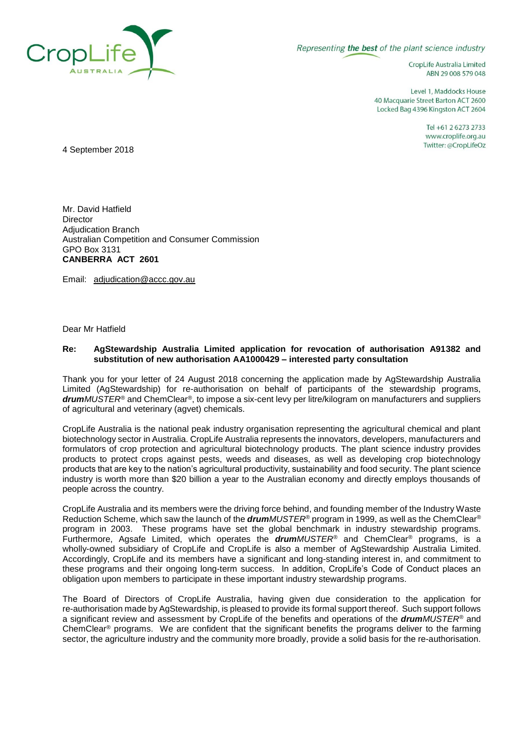

Representing the best of the plant science industry

CropLife Australia Limited ABN 29 008 579 048

Level 1, Maddocks House 40 Macquarie Street Barton ACT 2600 Locked Bag 4396 Kingston ACT 2604

> Tel +61 2 6273 2733 www.croplife.org.au Twitter: @CropLifeOz

4 September 2018

Mr. David Hatfield **Director** Adjudication Branch Australian Competition and Consumer Commission GPO Box 3131 **CANBERRA ACT 2601**

Email: [adjudication@accc.gov.au](mailto:adjudication@accc.gov.au)

Dear Mr Hatfield

## **Re: AgStewardship Australia Limited application for revocation of authorisation A91382 and substitution of new authorisation AA1000429 – interested party consultation**

Thank you for your letter of 24 August 2018 concerning the application made by AgStewardship Australia Limited (AgStewardship) for re-authorisation on behalf of participants of the stewardship programs, *drumMUSTER®* and ChemClear*®*, to impose a six-cent levy per litre/kilogram on manufacturers and suppliers of agricultural and veterinary (agvet) chemicals.

CropLife Australia is the national peak industry organisation representing the agricultural chemical and plant biotechnology sector in Australia. CropLife Australia represents the innovators, developers, manufacturers and formulators of crop protection and agricultural biotechnology products. The plant science industry provides products to protect crops against pests, weeds and diseases, as well as developing crop biotechnology products that are key to the nation's agricultural productivity, sustainability and food security. The plant science industry is worth more than \$20 billion a year to the Australian economy and directly employs thousands of people across the country.

CropLife Australia and its members were the driving force behind, and founding member of the Industry Waste Reduction Scheme, which saw the launch of the *drumMUSTER®* program in 1999, as well as the ChemClear*®* program in 2003. These programs have set the global benchmark in industry stewardship programs. Furthermore, Agsafe Limited, which operates the *drumMUSTER®* and ChemClear*®* programs, is a wholly-owned subsidiary of CropLife and CropLife is also a member of AgStewardship Australia Limited. Accordingly, CropLife and its members have a significant and long-standing interest in, and commitment to these programs and their ongoing long-term success. In addition, CropLife's Code of Conduct places an obligation upon members to participate in these important industry stewardship programs.

The Board of Directors of CropLife Australia, having given due consideration to the application for re-authorisation made by AgStewardship, is pleased to provide its formal support thereof. Such support follows a significant review and assessment by CropLife of the benefits and operations of the *drumMUSTER®* and ChemClear*®* programs. We are confident that the significant benefits the programs deliver to the farming sector, the agriculture industry and the community more broadly, provide a solid basis for the re-authorisation.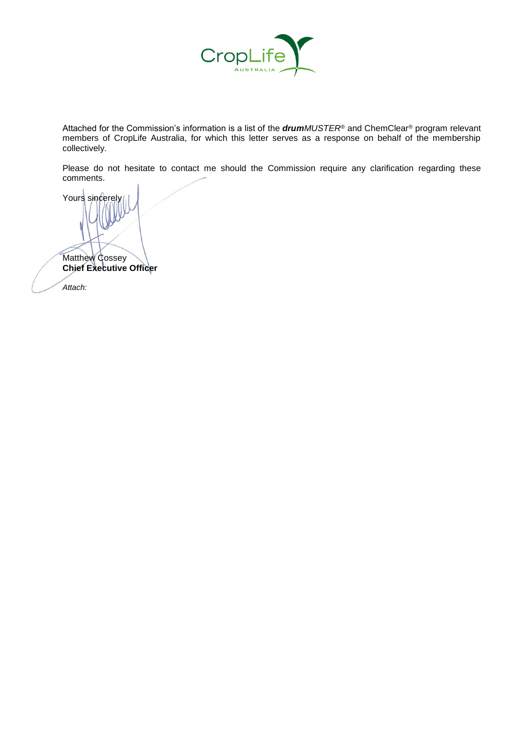

Attached for the Commission's information is a list of the *drumMUSTER®* and ChemClear*®* program relevant members of CropLife Australia, for which this letter serves as a response on behalf of the membership collectively.

Please do not hesitate to contact me should the Commission require any clarification regarding these comments.

Yours sincerely Matthew Cossey **Chief Executive Officer** *Attach:*